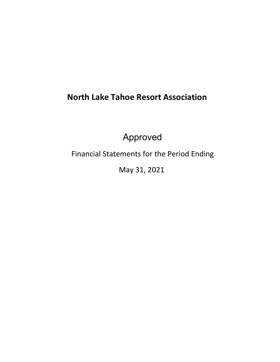# **North Lake Tahoe Resort Association**

Approved

Financial Statements for the Period Ending

May 31, 2021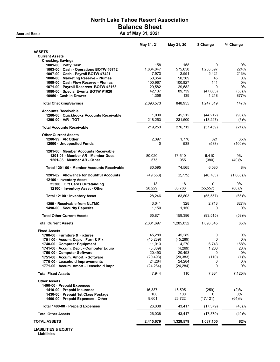#### North Lake Tahoe Resort Association Balance Sheet Accrual Basis **As of May 31, 2021**

May 31, 21 May 31, 20 \$ Change % Change ASSETS Current Assets Checking/Savings 1001-00 · Petty Cash 158 158 158 0 0 0%<br>1003-00 · Cash - Operations ROTW #6712 1864 047 575 650 1288 397 224% 1003-00 · Cash - Operations BOTW #6712 1,864,047 575,650 1,288,397 224%<br>1007-00 · Cash - Payroll BOTW #7421 7,973 2,551 5,421 213% 1007-00 · Cash - Payroll BOTW #7421 7,973 2,551 5,421 1008-00 · Marketing Reserve - Plumas 50,354 50,309 45 0% 1009-00 · Cash Flow Reserve - Plumas 1071-00 · Payroll Reserves BOTW #8163 29,582 29,582 0 0% 1080-00 · Special Events BOTW #1626 42,137 89,739 (47,603) (53)% **10950 · Cash in Drawer 1,356 139 1,356 139 1,356 139 1,356 139 1,318 877** Total Checking/Savings 2,096,573 848,955 1,247,619 147% Accounts Receivable 1200-00 · Quickbooks Accounts Receivable 1,000 45,212 (44,212) (98)% 1290-00 · A/R - TOT 218,253 231,500 (13,247) (6)% Total Accounts Receivable 219,253 276,712 (57,459) (21)% Other Current Assets 1200-99 · AR Other 2,397 1.776 621 35% 12000 · Undeposited Funds 0 538 (538) (100)% 1201-00 · Member Accounts Receivable 1201-01 · Member AR - Member Dues 80,020 73,610 6,410 9% 1201-03 · Member AR - Other **1201-03 · Member AR - Other 1201-03** · ST5 955 (380) (40)% Total 1201-00 · Member Accounts Receivable  $80,595$  74,565 6,030 8% 1201-02 · Allowance for Doubtful Accounts (49,558) (2,775) (46,783) (1,686)% 12100 · Inventory Asset 25300 · Gift Cards Outstanding 18 18 0 0% 12100 · Inventory Asset - Other 28,229 83,786 (55,557) Total 12100 · Inventory Asset 28,246 83,803 (55,557) (66)% 1299 · Receivable from NLTMC 3,041 328 2,713 827% 1490-00 · Security Deposits 1,150 1,150 0 0% Total Other Current Assets **65,871** 159,386 (93,515) (59)% Total Current Assets 2,381,697 1,285,052 1,096,645 85% Fixed Assets 1700-00 · Furniture & Fixtures 45,289 45,289 0 0% 1701-00 · Accum. Depr. - Furn & Fix (45,289) (45,289) 0 0% 1740-00 · Computer Equipment 1741-00 · Accum. Depr. - Computer Equip (3,069) (4,269) 1,200 28% 1750-00 · Computer Software 20.493 20,493 20,493 0 20,493 0 20,493 0 20 0  $0\%$ 1751-00 · Accum. Amort. - Software  $(20,493)$   $(20,493)$   $(20,383)$   $(110)$   $(1)$ % 1770-00 · Leasehold Improvements 24,284 24,284 0 0% 1771-00 · Accum. Amort - Leasehold Impr (24,284) (24,284) (24,284) 0 0 0% Total Fixed Assets **7,944** 110 7,834 7,125% Other Assets 1400-00 · Prepaid Expenses 1410-00 · Prepaid Insurance 2.9% and the 16,337 16,595 (259) (2)% (2)% 1**430-00 · Prepaid 1st Class Postage** 100 100 100 100 100 0 0%<br>**1400-00 · Prepaid Expenses - Other** 100 9,601 26,722 (17,121) (64)%

1400-00 · Prepaid Expenses - Other 9,601 26,722 (17,121) Total 1400-00 · Prepaid Expenses 26,038 43,417 (17,379) (40)% Total Other Assets 26,038 43,417 (17,379) (40)% TOTAL ASSETS 2,415,679 1,328,579 1,087,100 82%

LIABILITIES & EQUITY Liabilities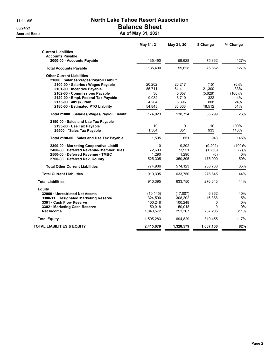## 11:11 AM North Lake Tahoe Resort Association 06/24/21 Balance Sheet Accrual Basis **Accrual Basis** As of May 31, 2021

|                                                       | May 31, 21 | May 31, 20 | \$ Change | % Change |
|-------------------------------------------------------|------------|------------|-----------|----------|
| <b>Current Liabilities</b>                            |            |            |           |          |
| <b>Accounts Payable</b><br>2000-00 · Accounts Payable | 135,490    | 59,628     | 75,862    | 127%     |
| <b>Total Accounts Payable</b>                         | 135,490    | 59,628     | 75.862    | 127%     |
| <b>Other Current Liabilities</b>                      |            |            |           |          |
| 21000 · Salaries/Wages/Payroll Liabilit               |            |            |           |          |
| 2100-00 · Salaries / Wages Payable                    | 20,202     | 20.217     | (15)      | $(0)\%$  |
| 2101-00 Incentive Payable                             | 85,711     | 64,411     | 21,300    | 33%      |
| 2102-00 Commissions Payable                           | 30         | 5,657      | (5,628)   | (100)%   |
| 2120-00 · Empl. Federal Tax Payable                   | 9,032      | 8,710      | 322       | 4%       |
| 2175-00 · 401 (k) Plan                                | 4,204      | 3,396      | 808       | 24%      |
| 2180-00 · Estimated PTO Liability                     | 54,845     | 36,333     | 18,512    | 51%      |
|                                                       |            |            |           |          |
| Total 21000 · Salaries/Wages/Payroll Liabilit         | 174,023    | 138,724    | 35,299    | 26%      |
| 2190-00 Sales and Use Tax Payable                     |            |            |           |          |
| 2195-00 · Use Tax Payable                             | 10         | 0          | 10        | 100%     |
| 25500 · * Sales Tax Payable                           | 1,584      | 651        | 933       | 143%     |
| Total 2190-00 · Sales and Use Tax Payable             | 1,595      | 651        | 943       | 145%     |
| 2300-00 Marketing Cooperative Liabili                 | $\Omega$   | 9,202      | (9,202)   | (100)%   |
| 2400-60 · Deferred Revenue- Member Dues               | 72.693     | 73,951     | (1, 258)  | (2)%     |
| 2500-00 Deferred Revenue - TMBC                       | 1,290      | 1,290      | (0)       | 0%       |
| 2700-00 Deferred Rev. County                          | 525,305    | 350,305    | 175,000   | 50%      |
| <b>Total Other Current Liabilities</b>                | 774,906    | 574,123    | 200,783   | 35%      |
| <b>Total Current Liabilities</b>                      | 910,395    | 633,750    | 276,645   | 44%      |
| <b>Total Liabilities</b>                              | 910,395    | 633,750    | 276,645   | 44%      |
| Equity                                                |            |            |           |          |
| 32000 Unrestricted Net Assets                         | (10, 145)  | (17,007)   | 6,862     | 40%      |
| 3300-11 Designated Marketing Reserve                  | 324,590    | 308,202    | 16,388    | 5%       |
| 3301 Cash Flow Reserve                                | 100,248    | 100,248    | 0         | 0%       |
| 3302 · Marketing Cash Reserve                         | 50,018     | 50,018     | $\Omega$  | 0%       |
| <b>Net Income</b>                                     | 1,040,572  | 253,367    | 787,205   | 311%     |
| <b>Total Equity</b>                                   | 1,505,283  | 694,829    | 810,455   | 117%     |
| TOTAL LIABILITIES & EQUITY                            | 2,415,679  | 1,328,579  | 1,087,100 | 82%      |
|                                                       |            |            |           |          |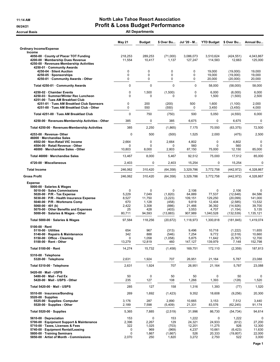#### 11:14 AM **North Lake Tahoe Resort Association** 06/24/21 **Profit & Loss Budget Performance**

Accrual Basis **Accrual Basis** All Departments

|                                                                                                                                                                                                                                                                                                 | <b>May 21</b>                                       | <b>Budget</b>                                           | \$ Over Bu                                                      | Jul '20 - M                                                       | <b>YTD Budget</b>                                                | \$ Over Bu                                                                        | Annual Bu                                                               |
|-------------------------------------------------------------------------------------------------------------------------------------------------------------------------------------------------------------------------------------------------------------------------------------------------|-----------------------------------------------------|---------------------------------------------------------|-----------------------------------------------------------------|-------------------------------------------------------------------|------------------------------------------------------------------|-----------------------------------------------------------------------------------|-------------------------------------------------------------------------|
| <b>Ordinary Income/Expense</b><br>Income                                                                                                                                                                                                                                                        |                                                     |                                                         |                                                                 |                                                                   |                                                                  |                                                                                   |                                                                         |
| 4050-00 · County of Placer TOT Funding<br>4200-00 · Membership Dues Revenue<br>4250-00 · Revenues-Membership Activities                                                                                                                                                                         | 218,253<br>11,554                                   | 289,253<br>10,417                                       | (71,000)<br>1,137                                               | 3,086,073<br>127,247                                              | 3,510,624<br>114,583                                             | (424, 551)<br>12,663                                                              | 4,043,867<br>125.000                                                    |
| 4250-01 Community Awards<br>4250-04 · Silent Auction<br>4250-05 · Sponsorships                                                                                                                                                                                                                  | 0<br>$\mathbf 0$<br>0                               | 0<br>0<br>0                                             | 0<br>0<br>0                                                     | 0<br>0<br>0                                                       | 19,000<br>19,000                                                 | (19,000)<br>(19,000)                                                              | 19,000<br>19,000                                                        |
| 4250-01 Community Awards - Other<br>Total 4250-01 · Community Awards                                                                                                                                                                                                                            | $\mathbf 0$                                         | $\mathbf 0$                                             | $\mathbf 0$                                                     | $\Omega$                                                          | 20,000<br>58,000                                                 | (20,000)<br>(58,000)                                                              | 20,000<br>58,000                                                        |
| 4250-02 · Chamber Events<br>4250-03 · Summer/Winter Rec Luncheon                                                                                                                                                                                                                                | $\mathbf 0$<br>0                                    | 1,500<br>0                                              | (1,500)<br>0                                                    | $\mathbf 0$<br>$\mathbf 0$                                        | 6,000<br>1,500                                                   | (6,000)<br>(1,500)                                                                | 6,000<br>2,500                                                          |
| 4251-00 · Tues AM Breakfast Club<br>4251-01 · Tues AM Breakfast Club Sponsors<br>4251-00 · Tues AM Breakfast Club - Other                                                                                                                                                                       | $\mathbf 0$<br>0                                    | 200<br>550                                              | (200)<br>(550)                                                  | 500<br>0                                                          | 1,600<br>3,450                                                   | (1, 100)<br>(3, 450)                                                              | 2,000<br>4,000                                                          |
| Total 4251-00 Tues AM Breakfast Club                                                                                                                                                                                                                                                            | $\Omega$                                            | 750                                                     | (750)                                                           | 500                                                               | 5,050                                                            | (4,550)                                                                           | 6,000                                                                   |
| 4250-00 · Revenues-Membership Activities - Other                                                                                                                                                                                                                                                | 385                                                 | $\mathbf 0$                                             | 385                                                             | 6,675                                                             | 0                                                                | 6,675                                                                             | 0                                                                       |
| Total 4250-00 · Revenues-Membership Activities                                                                                                                                                                                                                                                  | 385                                                 | 2,250                                                   | (1,865)                                                         | 7,175                                                             | 70,550                                                           | (63, 375)                                                                         | 72,500                                                                  |
| 4253-00 · Revenue- Other<br>46000 · Merchandise Sales                                                                                                                                                                                                                                           | $\mathbf 0$                                         | 500                                                     | (500)                                                           | 1,525                                                             | 2,000                                                            | (475)                                                                             | 2,500                                                                   |
| 4502-00 · Non-Retail VIC income<br>4504-00 · Retail Revenue - Other<br>46000 · Merchandise Sales - Other                                                                                                                                                                                        | 2,664<br>$\Omega$<br>10,803                         | 0<br>$\mathbf 0$<br>8,000                               | 2,664<br>0<br>2,803                                             | 4,802<br>560<br>87,150                                            | 0<br>0<br>75,000                                                 | 4,802<br>560<br>12,150                                                            | 0<br>0<br>85,000                                                        |
| Total 46000 · Merchandise Sales                                                                                                                                                                                                                                                                 | 13,467                                              | 8,000                                                   | 5,467                                                           | 92,512                                                            | 75,000                                                           | 17,512                                                                            | 85,000                                                                  |
| 4720-00 · Miscellaneous                                                                                                                                                                                                                                                                         | 2,403                                               | 0                                                       | 2,403                                                           | 15,254                                                            | 0                                                                | 15,254                                                                            | $\mathbf 0$                                                             |
| <b>Total Income</b>                                                                                                                                                                                                                                                                             | 246,062                                             | 310,420                                                 | (64, 358)                                                       | 3,329,786                                                         | 3,772,758                                                        | (442, 972)                                                                        | 4,328,867                                                               |
| <b>Gross Profit</b>                                                                                                                                                                                                                                                                             | 246,062                                             | 310,420                                                 | (64, 358)                                                       | 3,329,786                                                         | 3,772,758                                                        | (442, 972)                                                                        | 4,328,867                                                               |
| <b>Expense</b><br>5000-00 · Salaries & Wages<br>5010-00 · Sales Commissions<br>5020-00 · P/R - Tax Expense<br>5030-00 · P/R - Health Insurance Expense<br>5040-00 · P/R - Workmans Comp<br>5060-00 $\cdot$ 401 (k)<br>5070-00 Other Benefits and Expenses<br>5000-00 · Salaries & Wages - Other | 0<br>5,229<br>8,527<br>670<br>2,422<br>25<br>80,711 | 0<br>7,049<br>11,750<br>1,128<br>3,308<br>428<br>94,593 | 0<br>(1,820)<br>(3,223)<br>(458)<br>(886)<br>(403)<br>(13, 883) | 2,106<br>64,889<br>109,151<br>9,819<br>21,466<br>3,553<br>907,989 | 0<br>77,537<br>129,250<br>12,404<br>36,392<br>4,707<br>1,040,528 | 2,106<br>(12, 648)<br>(20,099)<br>(2, 585)<br>(14, 926)<br>(1, 154)<br>(132, 539) | $\Omega$<br>84,586<br>141,000<br>13,532<br>39,700<br>5,135<br>1,135,121 |
| Total 5000-00 · Salaries & Wages                                                                                                                                                                                                                                                                | 97,584                                              | 118,256                                                 | (20, 672)                                                       | 1,118,973                                                         | 1,300,818                                                        | (181, 845)                                                                        | 1,419,074                                                               |
| 5100-00 · Rent<br>5110-00 · Utilities<br>5140-00 · Repairs & Maintenance<br>5150-00 Office - Cleaning<br>5100-00 · Rent - Other<br>Total 5100-00 · Rent                                                                                                                                         | 654<br>342<br>$\mathbf 0$<br>13,279<br>14,274       | 967<br>888<br>1,058<br>12,819<br>15,732                 | (313)<br>(546)<br>(1,058)<br>460<br>(1, 458)                    | 9,496<br>7,254<br>5,875<br>147,127<br>169,751                     | 10,718<br>9,772<br>11,642<br>139,979<br>172,110                  | (1,222)<br>(2, 518)<br>(5,767)<br>7,148<br>(2,359)                                | 11,655<br>10,660<br>12,700<br>152,798<br>187,813                        |
| 5310-00 · Telephone                                                                                                                                                                                                                                                                             |                                                     |                                                         |                                                                 |                                                                   |                                                                  |                                                                                   |                                                                         |
| 5320-00 · Telephone<br>Total 5310-00 · Telephone                                                                                                                                                                                                                                                | 2,631<br>2,631                                      | 1,924<br>1,924                                          | 707<br>707                                                      | 26,951<br>26,951                                                  | 21,164<br>21,164                                                 | 5,787<br>5,787                                                                    | 23,088<br>23,088                                                        |
| 5420-00 · Mail - USPS<br>5480-00 · Mail - Fed Ex<br>5420-00 · Mail - USPS - Other                                                                                                                                                                                                               | 50<br>235                                           | 0<br>127                                                | 50<br>108                                                       | 50<br>1,266                                                       | 0<br>1,393                                                       | 50<br>(128)                                                                       | 0<br>1,520                                                              |
| Total 5420-00 · Mail - USPS                                                                                                                                                                                                                                                                     | 285                                                 | 127                                                     | 158                                                             | 1,316                                                             | 1,393                                                            | (77)                                                                              | 1,520                                                                   |
| 5510-00 · Insurance/Bonding<br>$5520-00 \cdot$ Supplies<br>5525-00 · Supplies- Computer                                                                                                                                                                                                         | 269<br>3,176                                        | 1,692<br>287                                            | (1, 423)<br>2,890                                               | 9,352<br>10,665                                                   | 18,608<br>3,153                                                  | (9,256)<br>7,512                                                                  | 20,300<br>3,440                                                         |
| 5520-00 · Supplies - Other<br>Total 5520-00 · Supplies                                                                                                                                                                                                                                          | 2,189<br>5,365                                      | 7,598<br>7,885                                          | (5,409)<br>(2,519)                                              | 21,331<br>31,996                                                  | 83,576<br>86,730                                                 | (62, 245)<br>(54, 734)                                                            | 91,174<br>94,614                                                        |
| 5610-00 · Depreciation                                                                                                                                                                                                                                                                          | 153                                                 | 0                                                       | 153                                                             | 1,222                                                             | 0                                                                | 1,222                                                                             | 0                                                                       |
| 5700-00 · Equipment Support & Maintenance<br>5710-00 · Taxes, Licenses & Fees<br>5740-00 · Equipment Rental/Leasing<br>5800-00 · Training Seminars<br>5850-00 · Artist of Month - Commissions                                                                                                   | 2,396<br>322<br>0<br>$\mathbf 0$<br>2,070           | 2,267<br>1,025<br>969<br>1,667<br>250                   | 129<br>(703)<br>(969)<br>(1,667)<br>1,820                       | 24,321<br>12,201<br>4,237<br>526<br>3,272                         | 24,933<br>11,275<br>10,661<br>20,333<br>2,750                    | (612)<br>926<br>(6, 423)<br>(19, 807)<br>522                                      | 27,200<br>12,300<br>11,630<br>22,000<br>3,000                           |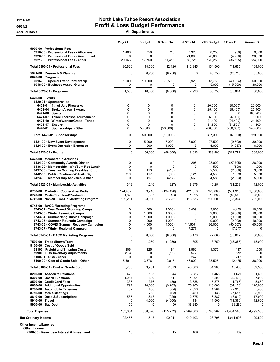#### 11:14 AM **North Lake Tahoe Resort Association** 06/24/21 **Profit & Loss Budget Performance** Accrual Basis **Accrual Basis** All Departments

|                                                                                                                             | <b>May 21</b>                  | Budget                   | \$ Over Bu                  | Jul '20 - M                 | <b>YTD Budget</b>            | \$ Over Bu                           | <b>Annual Bu</b>               |
|-----------------------------------------------------------------------------------------------------------------------------|--------------------------------|--------------------------|-----------------------------|-----------------------------|------------------------------|--------------------------------------|--------------------------------|
| 5900-00 · Professional Fees<br>5910-00 · Professional Fees - Attorneys                                                      | 1,460                          | 750                      | 710                         | 7,320                       | 8,250                        | (930)                                | 9,000                          |
| 5920-00 · Professional Fees - Accountant<br>5921-00 · Professional Fees - Other                                             | $\mathbf 0$<br>29,166          | $\mathbf 0$<br>17,750    | $\mathbf 0$<br>11,416       | 21,800<br>83,725            | 26,000<br>120,250            | (4,200)<br>(36, 525)                 | 26,000<br>134,000              |
| Total 5900-00 · Professional Fees                                                                                           | 30,626                         | 18,500                   | 12,126                      | 112,845                     | 154,500                      | (41, 655)                            | 169,000                        |
| 5941-00 · Research & Planning                                                                                               | $\mathbf 0$                    | 6,250                    | (6, 250)                    | 0                           | 43,750                       | (43, 750)                            | 55,000                         |
| $6020-00 \cdot$ Programs<br>6016-00 · Special Event Partnership<br>6018-00 · Business Assoc. Grants                         | 1,500<br>0                     | 10,000<br>0              | (8,500)<br>$\Omega$         | 2,926<br>0                  | 43,750<br>15,000             | (40, 824)<br>(15,000)                | 50,000<br>30,000               |
| Total 6020-00 · Programs                                                                                                    | 1,500                          | 10,000                   | (8,500)                     | 2,926                       | 58,750                       | (55, 824)                            | 80,000                         |
| $6420-00 \cdot$ Events                                                                                                      |                                |                          |                             |                             |                              |                                      |                                |
| 6420-01 · Sponsorships<br>6421-01 · 4th of July Fireworks                                                                   | 0                              | 0                        | 0                           | 0                           | 20,000                       | (20,000)                             | 20,000                         |
| 6421-04 · Broken Arrow Skyrace                                                                                              | 0                              | $\mathbf 0$              | $\mathbf 0$                 | 0                           | 25,400                       | (25, 400)                            | 25,400                         |
| $6421-06 \cdot$ Spartan                                                                                                     | $\Omega$                       | $\mathbf 0$              | $\mathbf 0$                 | 0                           | $\Omega$                     | 0                                    | 180,900                        |
| 6421-07 · Tahoe Lacrosse Tournament                                                                                         | 0                              | $\mathbf 0$              | $\mathbf 0$                 | 0                           | 6,000                        | (6,000)                              | 6,000                          |
| 6421-10 · WinterWonderGrass - Tahoe                                                                                         | $\Omega$                       | $\Omega$                 | $\mathbf 0$                 | $\mathbf 0$                 | 24,400                       | (24, 400)                            | 24,400                         |
| $6421-17 \cdot$ Enduro<br>6420-01 · Sponsorships - Other                                                                    | 0<br>0                         | $\mathbf 0$<br>50,000    | $\mathbf 0$<br>(50,000)     | 0<br>0                      | 31,500<br>200,000            | (31,500)<br>(200,000)                | 31,500<br>240,800              |
| Total 6420-01 · Sponsorships                                                                                                | $\mathbf{0}$                   | 50,000                   | (50,000)                    | $\Omega$                    | 307,300                      | (307, 300)                           | 529,000                        |
| 6421-00 · New Event Development                                                                                             | $\mathbf 0$                    | 5,000                    | (5,000)                     | 18,000                      | 27,500                       | (9,500)                              | 30,000                         |
| 6424-00 · Event Operation Expenses                                                                                          | $\mathbf 0$                    | 1,000                    | (1,000)                     | 13                          | 5,000                        | (4,987)                              | 6,000                          |
| Total $6420-00$ $\cdot$ Events                                                                                              | $\mathbf 0$                    | 56,000                   | (56,000)                    | 18,013                      | 339,800                      | (321, 787)                           | 565,000                        |
| 6423-00 · Membership Activities<br>6434-00 Community Awards Dinner                                                          | $\mathbf 0$                    | $\mathbf 0$              | 0                           | 295                         | 28,000                       | (27, 705)                            | 28,000                         |
| 6436-00 · Membership - Wnt/Sum Rec Lunch                                                                                    | $\mathbf 0$                    | $\mathbf 0$              | $\mathbf 0$                 | $\Omega$                    | 500                          | (500)                                | 1,000                          |
| 6437-00 · Tuesday Morning Breakfast Club                                                                                    | 0                              | 413                      | (413)                       | 0                           | 2,588                        | (2,588)                              | 3,000                          |
| 6442-00 · Public Relations/Website/Digita<br>6423-00 · Membership Activities - Other                                        | 319<br>$\mathbf 0$             | 417<br>417               | (98)<br>(417)               | 6,121<br>2,560              | 4,583<br>4,583               | 1,538<br>(2,023)                     | 5,000<br>5,000                 |
| Total 6423-00 · Membership Activities                                                                                       | 319                            | 1,246                    | (927)                       | 8,976                       | 40,254                       | (31, 278)                            | 42,000                         |
|                                                                                                                             |                                |                          |                             |                             |                              |                                      |                                |
| 6730-00 · Marketing Cooperative/Media<br>6740-00 · Media/Collateral/Production<br>6742-00 · Non-NLT Co-Op Marketing Program | (124, 402)<br>1,825<br>109,261 | 9,718<br>1,667<br>23,000 | (134, 120)<br>158<br>86,261 | 421,850<br>1,825<br>113,636 | 923,800<br>18,333<br>209,000 | (501, 950)<br>(16, 508)<br>(95, 364) | 1,000,000<br>20,000<br>232,000 |
| 6743-00 · BACC Marketing Programs                                                                                           |                                |                          |                             |                             |                              |                                      |                                |
| 6743-01 · Year Round Shopping Campaign<br>6743-03 · Winter Lakeside Campaign                                                | $\mathbf 0$<br>$\mathbf 0$     | 1,000<br>1,000           | (1,000)<br>(1,000)          | 13,409<br>0                 | 9,000<br>9,000               | 4,409                                | 10,000<br>10,000               |
| 6743-04 · Summerlong Music Campaign                                                                                         | $\mathbf 0$                    | 1,000                    | (1,000)                     | 0                           | 9,000                        | (9,000)<br>(9,000)                   | 10,000                         |
| 6743-05 · Summer Mountain Campaign                                                                                          | $\mathbf 0$                    | 1,000                    | (1,000)                     | $\Omega$                    | 9,000                        | (9,000)                              | 10,000                         |
| 6743-06 · COVID Summer Recovery Campaign                                                                                    | 0                              | 4,000                    | (4,000)                     | (14, 507)                   | 36,000                       | (50, 507)                            | 40,000                         |
| 6743-07 · Winter Regional Campaign                                                                                          | $\mathbf 0$                    | 0                        | 0                           | 17,277                      | 0                            | 17,277                               | 0                              |
| Total 6743-00 · BACC Marketing Programs                                                                                     | $\mathbf 0$                    | 8,000                    | (8,000)                     | 16,178                      | 72,000                       | (55, 822)                            | 80.000                         |
| 7500-00 · Trade Shows/Travel<br>8100-00 · Cost of Goods Sold                                                                | $\Omega$                       | 1,250                    | (1,250)                     | 395                         | 13,750                       | (13, 355)                            | 15,000                         |
| 51100 · Freight and Shipping Costs                                                                                          | 206                            | 125                      | 81                          | 1,562                       | 1,375                        | 187                                  | 1,500                          |
| 59900 · POS Inventory Adjustments                                                                                           | (16)                           | 0                        | (16)                        | 572                         | 0                            | 572                                  | 0                              |
| 8100-01 · CGS - Other<br>8100-00 · Cost of Goods Sold - Other                                                               | 0<br>5,591                     | 0<br>3,576               | 0<br>2,015                  | 247<br>46,000               | 0<br>33,525                  | 247<br>12,475                        | $\mathbf 0$<br>38,000          |
| Total 8100-00 · Cost of Goods Sold                                                                                          | 5,780                          | 3,701                    | 2,079                       | 48,380                      | 34,900                       | 13,480                               | 39,500                         |
| 8200-00 · Associate Relations                                                                                               | 479                            | 135                      | 344                         | 3,086                       | 1,465                        | 1,621                                | 1,600                          |
| 8300-00 · Board Functions                                                                                                   | 1,014                          | 500                      | 514                         | 4,001                       | 6,500                        | (2, 499)                             | 7,000                          |
| 8500-00 · Credit Card Fees                                                                                                  | 337                            | 376                      | (39)                        | 3,588                       | 5,375                        | (1,787)                              | 5,850                          |
| 8600-00 · Additional Opportunites                                                                                           | 797                            | 10,000                   | (9,203)                     | 75,900                      | 110,000                      | (34, 100)                            | 120,000                        |
| 8700-00 · Automobile Expenses<br>8750-00 · Meals/Meetings                                                                   | 82<br>$\mathbf 0$              | 466<br>763               | (384)<br>(763)              | 2,026<br>450                | 4,984<br>8,138               | (2,958)<br>(7,687)                   | 5,450<br>8,900                 |
| 8810-00 · Dues & Subscriptions                                                                                              | 587                            | 1,513                    | (926)                       | 12,775                      | 16,387                       | (3,612)                              | 17,900                         |
| 8910-00 · Travel<br>8920-00 · Bad Debt                                                                                      | 0<br>50                        | 4,000<br>0               | (4,000)<br>50               | 134<br>38,280               | 11,500<br>0                  | (11, 366)<br>38,280                  | 12,600<br>0                    |
| <b>Total Expense</b>                                                                                                        | 153,604                        | 308,876                  | (155, 272)                  | 2,289,383                   | 3,743,962                    | (1,454,580)                          | 4,299,338                      |
| <b>Net Ordinary Income</b>                                                                                                  | 92,457                         | 1,543                    | 90,914                      | 1,040,403                   | 28,795                       | 1,011,608                            | 29,529                         |
| Other Income/Expense                                                                                                        |                                |                          |                             |                             |                              |                                      |                                |
| Other Income                                                                                                                |                                |                          |                             |                             |                              |                                      |                                |
| 4700-00 · Revenues- Interest & Investment                                                                                   | 15                             | 0                        | 15                          | 169                         | 0                            | 169                                  | 0                              |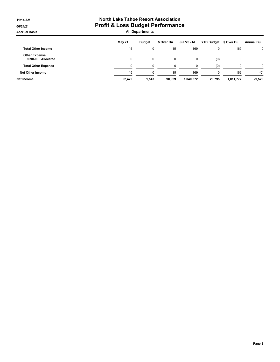#### 11:14 AM **North Lake Tahoe Resort Association** 06/24/21 **Profit & Loss Budget Performance** Accrual Basis **Accrual Basis** All Departments

|                                             | May 21 | <b>Budget</b> | \$ Over Bu | Jul '20 - M |          | YTD Budget \$ Over Bu | Annual Bu |
|---------------------------------------------|--------|---------------|------------|-------------|----------|-----------------------|-----------|
| <b>Total Other Income</b>                   | 15     | 0             | 15         | 169         | 0        | 169                   | 0         |
| <b>Other Expense</b><br>8990-00 · Allocated |        | $\Omega$      | $\Omega$   | 0           | (0)      | 0                     | 0         |
| <b>Total Other Expense</b>                  |        | 0             | $\Omega$   |             | (0)      | 0                     |           |
| <b>Net Other Income</b>                     | 15     | 0             | 15         | 169         | $\Omega$ | 169                   | (0)       |
| Net Income                                  | 92.472 | 1.543         | 90.929     | 1.040.572   | 28.795   | 1,011,777             | 29,529    |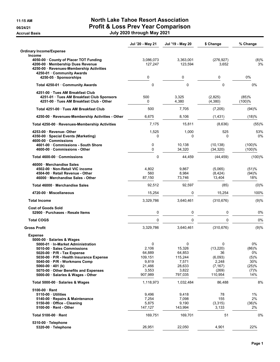### 11:15 AM North Lake Tahoe Resort Association 06/24/21 **Profit & Loss Prev Year Comparison** Accrual Basis July 2020 through May 2021

|                                                                                                                                                                                                                                                       | Jul '20 - May 21                                                  | Jul '19 - May 20                                                   | \$ Change                                                           | % Change                                           |
|-------------------------------------------------------------------------------------------------------------------------------------------------------------------------------------------------------------------------------------------------------|-------------------------------------------------------------------|--------------------------------------------------------------------|---------------------------------------------------------------------|----------------------------------------------------|
| <b>Ordinary Income/Expense</b>                                                                                                                                                                                                                        |                                                                   |                                                                    |                                                                     |                                                    |
| <b>Income</b><br>4050-00 County of Placer TOT Funding<br>4200-00 Membership Dues Revenue<br>4250-00 · Revenues-Membership Activities<br>4250-01 · Community Awards                                                                                    | 3,086,073<br>127,247                                              | 3,363,001<br>123,594                                               | (276, 927)<br>3,652                                                 | (8)%<br>3%                                         |
| 4250-05 · Sponsorships                                                                                                                                                                                                                                | 0                                                                 | 0                                                                  | 0                                                                   | 0%                                                 |
| Total 4250-01 Community Awards                                                                                                                                                                                                                        | $\mathbf 0$                                                       | 0                                                                  | 0                                                                   | 0%                                                 |
| 4251-00 · Tues AM Breakfast Club<br>4251-01 Tues AM Breakfast Club Sponsors<br>4251-00 Tues AM Breakfast Club - Other                                                                                                                                 | 500<br>0                                                          | 3,325<br>4,380                                                     | (2,825)<br>(4, 380)                                                 | (85)%<br>(100)%                                    |
| Total 4251-00 Tues AM Breakfast Club                                                                                                                                                                                                                  | 500                                                               | 7,705                                                              | (7,205)                                                             | (94)%                                              |
| 4250-00 · Revenues-Membership Activities - Other                                                                                                                                                                                                      | 6,675                                                             | 8,106                                                              | (1, 431)                                                            | (18)%                                              |
| Total 4250-00 · Revenues-Membership Activities                                                                                                                                                                                                        | 7,175                                                             | 15,811                                                             | (8,636)                                                             | (55)%                                              |
| 4253-00 · Revenue- Other<br>4350-00 · Special Events (Marketing)<br>4600-00 Commissions                                                                                                                                                               | 1,525<br>$\Omega$                                                 | 1,000<br>$\Omega$                                                  | 525<br>$\mathbf{0}$                                                 | 53%<br>0%                                          |
| 4601-00 Commissions - South Shore<br>4600-00 · Commissions - Other                                                                                                                                                                                    | 0<br>$\mathbf 0$                                                  | 10,138<br>34,320                                                   | (10, 138)<br>(34, 320)                                              | (100)%<br>(100)%                                   |
| Total 4600-00 Commissions                                                                                                                                                                                                                             | 0                                                                 | 44,459                                                             | (44, 459)                                                           | (100)%                                             |
| 46000 Merchandise Sales<br>4502-00 Non-Retail VIC income<br>4504-00 · Retail Revenue - Other<br>46000 Merchandise Sales - Other                                                                                                                       | 4,802<br>560<br>87,150                                            | 9,867<br>8,984<br>73,746                                           | (5,065)<br>(8, 424)<br>13,404                                       | (51)%<br>(94)%<br>18%                              |
| Total 46000 Merchandise Sales                                                                                                                                                                                                                         | 92,512                                                            | 92,597                                                             | (85)                                                                | (0)%                                               |
| 4720-00 Miscellaneous                                                                                                                                                                                                                                 | 15,254                                                            | 0                                                                  | 15,254                                                              | 100%                                               |
| <b>Total Income</b>                                                                                                                                                                                                                                   | 3,329,786                                                         | 3,640,461                                                          | (310, 676)                                                          | (9)%                                               |
| <b>Cost of Goods Sold</b><br>52900 Purchases - Resale Items                                                                                                                                                                                           | 0                                                                 | 0                                                                  | 0                                                                   | 0%                                                 |
| <b>Total COGS</b>                                                                                                                                                                                                                                     | $\pmb{0}$                                                         | 0                                                                  | 0                                                                   | 0%                                                 |
| <b>Gross Profit</b>                                                                                                                                                                                                                                   | 3,329,786                                                         | 3,640,461                                                          | (310, 676)                                                          | (9)%                                               |
| Expense<br>5000-00 Salaries & Wages<br>5000-01 · In-Market Administration                                                                                                                                                                             | 0                                                                 | 0                                                                  | 0                                                                   | 0%                                                 |
| 5010-00 · Sales Commissions<br>$5020-00 \cdot P/R$ - Tax Expense<br>5030-00 · P/R - Health Insurance Expense<br>5040-00 · P/R - Workmans Comp<br>$5060-00 \cdot 401$ (k)<br>5070-00 Other Benefits and Expenses<br>5000-00 · Salaries & Wages - Other | 2,106<br>64,889<br>109,151<br>9,819<br>21,466<br>3,553<br>907,989 | 15,326<br>64,853<br>115,244<br>7,571<br>28,633<br>3,822<br>797,035 | (13, 220)<br>36<br>(6,093)<br>2,248<br>(7, 167)<br>(269)<br>110,954 | (86)%<br>0%<br>(5)%<br>30%<br>(25)%<br>(7)%<br>14% |
| Total 5000-00 · Salaries & Wages                                                                                                                                                                                                                      | 1,118,973                                                         | 1,032,484                                                          | 86,488                                                              | 8%                                                 |
| $5100-00$ Rent<br>5110-00 · Utilities<br>5140-00 · Repairs & Maintenance<br>5150-00 Office - Cleaning<br>$5100-00 \cdot$ Rent - Other                                                                                                                 | 9,496<br>7,254<br>5,875<br>147,127                                | 9,418<br>7,098<br>9,190<br>143,994                                 | 78<br>155<br>(3,315)<br>3,133                                       | 1%<br>2%<br>(36)%<br>2%                            |
| Total 5100-00 · Rent                                                                                                                                                                                                                                  | 169,751                                                           | 169,701                                                            | 51                                                                  | 0%                                                 |
| 5310-00 · Telephone<br>5320-00 · Telephone                                                                                                                                                                                                            | 26,951                                                            | 22,050                                                             | 4,901                                                               | 22%                                                |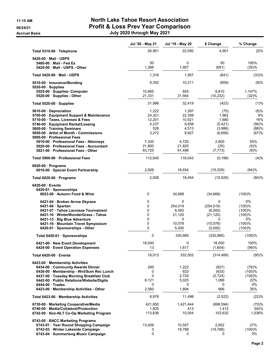#### 11:15 AM North Lake Tahoe Resort Association 06/24/21 **Profit & Loss Prev Year Comparison** Accrual Basis July 2020 through May 2021

|                                                                          | Jul '20 - May 21 | Jul '19 - May 20 | \$ Change            | % Change         |
|--------------------------------------------------------------------------|------------------|------------------|----------------------|------------------|
| Total 5310-00 · Telephone                                                | 26,951           | 22,050           | 4,901                | 22%              |
| 5420-00 Mail - USPS                                                      |                  |                  |                      |                  |
| 5480-00 Mail - Fed Ex                                                    | 50               | 0                | 50                   | 100%             |
| 5420-00 Mail - USPS - Other                                              | 1,266            | 1,957            | (691)                | (35)%            |
| Total 5420-00 Mail - USPS                                                | 1,316            | 1,957            | (641)                | (33)%            |
| 5510-00 · Insurance/Bonding                                              | 9,352            | 10,211           | (859)                | (8)%             |
| $5520-00$ · Supplies                                                     |                  |                  |                      |                  |
| 5525-00 · Supplies- Computer<br>5520-00 · Supplies - Other               | 10,665<br>21,331 | 855<br>31,564    | 9,810<br>(10, 232)   | 1,147%<br>(32)%  |
| Total 5520-00 Supplies                                                   | 31,996           | 32,419           | (423)                | (1)%             |
| 5610-00 Depreciation                                                     | 1,222            | 1,297            | (75)                 | (6)%             |
| 5700-00 · Equipment Support & Maintenance                                | 24,321           | 22,359           | 1,962                | 9%               |
| 5710-00 · Taxes, Licenses & Fees                                         | 12,201           | 10,521           | 1,680                | 16%              |
| 5740-00 · Equipment Rental/Leasing                                       | 4,237            | 9,658            | (5, 421)             | (56)%            |
| 5800-00 · Training Seminars                                              | 526              | 4,513            | (3,986)              | (88)%            |
| 5850-00 Artist of Month - Commissions<br>5900-00 Professional Fees       | 3,272            | 9,927            | (6,656)              | (67)%            |
| 5910-00 · Professional Fees - Attorneys                                  | 7,320            | 4,720            | 2,600                | 55%              |
| 5920-00 Professional Fees - Accountant                                   | 21,800           | 21,825           | (25)                 | $(0)\%$          |
| 5921-00 Professional Fees - Other                                        | 83,725           | 91,498           | (7, 773)             | (9)%             |
| Total 5900-00 Professional Fees                                          | 112,845          | 118,043          | (5, 198)             | (4)%             |
| $6020-00$ · Programs<br>6016-00 · Special Event Partnership              | 2,926            | 18,454           | (15, 529)            | (84)%            |
| Total 6020-00 $\cdot$ Programs                                           | 2,926            | 18,454           | (15, 529)            | (84)%            |
|                                                                          |                  |                  |                      |                  |
| $6420-00$ Events                                                         |                  |                  |                      |                  |
| $6420-01 \cdot$ Sponsorships<br>6023-00 · Autumn Food & Wine             | 0                | 34,668           | (34,668)             | (100)%           |
|                                                                          |                  |                  |                      |                  |
| 6421-04 · Broken Arrow Skyrace                                           | 0                | 0                | 0                    | 0%               |
| $6421-06 \cdot$ Spartan                                                  | 0<br>0           | 254,019          | (254, 019)           | (100)%           |
| 6421-07 · Tahoe Lacrosse Tournament<br>6421-10 WinterWonderGrass - Tahoe | 0                | 6,000<br>21,120  | (6,000)<br>(21, 120) | (100)%<br>(100)% |
| 6421-13 · Big Blue Adventure                                             | 0                | 0                | 0                    | 0%               |
| 6421-16 · Mountain Travel Symposium                                      | 0                | 10,078           | (10,078)             | (100)%           |
| 6420-01 · Sponsorships - Other                                           | 0                | 5,000            | (5,000)              | $(100)$ %        |
| Total 6420-01 · Sponsorships                                             | 0                | 330,885          | (330, 885)           | (100)%           |
| 6421-00 · New Event Development                                          | 18,000           | 0                | 18.000               | 100%             |
| 6424-00 · Event Operation Expenses                                       | 13               | 1,617            | (1,604)              | (99)%            |
| Total 6420-00 Events                                                     | 18,013           | 332,502          | (314, 489)           | (95)%            |
| 6423-00 Membership Activities                                            |                  |                  |                      |                  |
| 6434-00 Community Awards Dinner                                          | 295              | 1,222            | (927)                | (76)%            |
| 6436-00 · Membership - Wnt/Sum Rec Lunch                                 | 0                | 633              | (633)                | (100)%           |
| 6437-00 · Tuesday Morning Breakfast Club                                 | $\mathbf 0$      | 2,724            | (2, 724)             | (100)%           |
| 6442-00 · Public Relations/Website/Digita                                | 6,121            | 5,025            | 1,096                | 22%              |
| $6444-00$ Trades                                                         | 0                | 0                | 0                    | 0%               |
| 6423-00 Membership Activities - Other                                    | 2,560            | 1,894            | 666                  | 35%              |
| Total 6423-00 Membership Activities                                      | 8,976            | 11,498           | (2,522)              | (22)%            |
| 6730-00 · Marketing Cooperative/Media                                    | 421,850          | 1,421,444        | (999,594)            | (70)%            |
| 6740-00 · Media/Collateral/Production                                    | 1,825            | 413              | 1,412                | 342%             |
| 6742-00 · Non-NLT Co-Op Marketing Program                                | 113,636          | 10,004           | 103,632              | 1,036%           |
| 6743-00 · BACC Marketing Programs                                        |                  |                  |                      |                  |
| 6743-01 · Year Round Shopping Campaign                                   | 13,409           | 10,557           | 2,852                | 27%              |
| 6743-03 · Winter Lakeside Campaign                                       | 0                | 19,788           | (19, 788)            | (100)%           |
| 6743-04 · Summerlong Music Campaign                                      | 0                | 0                | 0                    | 0%               |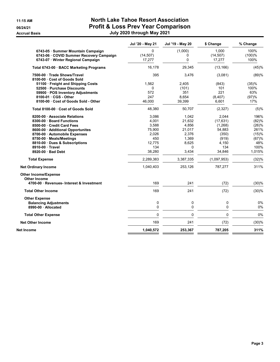#### 11:15 AM **North Lake Tahoe Resort Association** 06/24/21 **Profit & Loss Prev Year Comparison** Accrual Basis July 2020 through May 2021

|                                                           | Jul '20 - May 21 | Jul '19 - May 20 | \$ Change   | % Change |
|-----------------------------------------------------------|------------------|------------------|-------------|----------|
| 6743-05 · Summer Mountain Campaign                        | 0                | (1,000)          | 1.000       | 100%     |
| 6743-06 · COVID Summer Recovery Campaign                  | (14, 507)        | 0                | (14, 507)   | (100)%   |
| 6743-07 · Winter Regional Campaign                        | 17,277           | $\mathbf{0}$     | 17,277      | 100%     |
| Total 6743-00 · BACC Marketing Programs                   | 16,178           | 29,345           | (13, 166)   | (45)%    |
| 7500-00 Trade Shows/Travel                                | 395              | 3,476            | (3,081)     | (89)%    |
| 8100-00 Cost of Goods Sold                                |                  |                  |             |          |
| 51100 Freight and Shipping Costs                          | 1.562            | 2,405            | (843)       | (35)%    |
| 52500 · Purchase Discounts                                | 0                | (101)            | 101         | 100%     |
| 59900 · POS Inventory Adjustments                         | 572              | 351              | 221         | 63%      |
| 8100-01 · CGS - Other                                     | 247              | 8,654            | (8, 407)    | (97)%    |
| 8100-00 Cost of Goods Sold - Other                        | 46.000           | 39,399           | 6,601       | 17%      |
| Total 8100-00 Cost of Goods Sold                          | 48,380           | 50,707           | (2, 327)    | (5)%     |
| 8200-00 Associate Relations                               | 3,086            | 1,042            | 2,044       | 196%     |
| 8300-00 Board Functions                                   | 4,001            | 21,632           | (17, 631)   | (82)%    |
| 8500-00 Credit Card Fees                                  | 3,588            | 4,856            | (1, 268)    | (26)%    |
| 8600-00 Additional Opportunites                           | 75,900           | 21,017           | 54,883      | 261%     |
| 8700-00 · Automobile Expenses                             | 2,026            | 2,376            | (350)       | (15)%    |
| 8750-00 · Meals/Meetings                                  | 450              | 1,369            | (919)       | (67)%    |
| 8810-00 Dues & Subscriptions                              | 12.775           | 8,625            | 4,150       | 48%      |
| 8910-00 Travel                                            | 134              | 0                | 134         | 100%     |
| 8920-00 · Bad Debt                                        | 38,280           | 3,434            | 34,846      | 1,015%   |
| <b>Total Expense</b>                                      | 2,289,383        | 3,387,335        | (1,097,953) | (32)%    |
| <b>Net Ordinary Income</b>                                | 1,040,403        | 253,126          | 787,277     | 311%     |
| <b>Other Income/Expense</b>                               |                  |                  |             |          |
| Other Income<br>4700-00 · Revenues- Interest & Investment | 169              | 241              | (72)        | (30)%    |
| <b>Total Other Income</b>                                 | 169              | 241              | (72)        | (30)%    |
| <b>Other Expense</b>                                      |                  |                  |             |          |
| <b>Balancing Adjustments</b>                              | $\pmb{0}$        | 0                | $\mathbf 0$ | 0%       |
| 8990-00 Allocated                                         | $\mathbf 0$      | 0                | $\mathbf 0$ | 0%       |
| <b>Total Other Expense</b>                                | $\mathbf{0}$     | $\mathbf{0}$     | $\mathbf 0$ | 0%       |
| <b>Net Other Income</b>                                   | 169              | 241              | (72)        | (30)%    |
| Net Income                                                | 1,040,572        | 253,367          | 787,205     | 311%     |
|                                                           |                  |                  |             |          |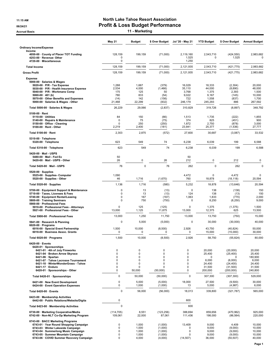#### 11:15 AM North Lake Tahoe Resort Association 06/24/21 OG/24/21 Profit & Loss Budget Performance Accrual Basis **11 - Marketing**

|                                                                                                                                                                                                                                                                                | <b>May 21</b>                                                 | <b>Budget</b>                                            | \$ Over Budget                                                                     | Jul '20 - May 21                                       | <b>YTD Budget</b>                                             | \$ Over Budget                                                                     | <b>Annual Budget</b>                                                |
|--------------------------------------------------------------------------------------------------------------------------------------------------------------------------------------------------------------------------------------------------------------------------------|---------------------------------------------------------------|----------------------------------------------------------|------------------------------------------------------------------------------------|--------------------------------------------------------|---------------------------------------------------------------|------------------------------------------------------------------------------------|---------------------------------------------------------------------|
| <b>Ordinary Income/Expense</b>                                                                                                                                                                                                                                                 |                                                               |                                                          |                                                                                    |                                                        |                                                               |                                                                                    |                                                                     |
| Income<br>4050-00 County of Placer TOT Funding<br>4253-00 · Revenue-Other<br>4720-00 · Miscellaneous                                                                                                                                                                           | 128,159<br>$\mathbf 0$<br>$\mathbf 0$                         | 199,159                                                  | (71,000)                                                                           | 2,119,160<br>1,525<br>1,250                            | 2,543,710<br>$\Omega$                                         | (424, 550)<br>1,525                                                                | 2,983,682<br>$\Omega$                                               |
| <b>Total Income</b>                                                                                                                                                                                                                                                            | 128,159                                                       | 199,159                                                  | (71,000)                                                                           | 2,121,935                                              | 2,543,710                                                     | (421, 775)                                                                         | 2,983,682                                                           |
| <b>Gross Profit</b>                                                                                                                                                                                                                                                            | 128,159                                                       | 199,159                                                  | (71,000)                                                                           | 2,121,935                                              | 2,543,710                                                     | (421, 775)                                                                         | 2,983,682                                                           |
| <b>Expense</b>                                                                                                                                                                                                                                                                 |                                                               |                                                          |                                                                                    |                                                        |                                                               |                                                                                    |                                                                     |
| 5000-00 · Salaries & Wages<br>$5020-00 \cdot P/R$ - Tax Expense<br>5030-00 · P/R - Health Insurance Expense<br>5040-00 · P/R - Workmans Comp<br>5060-00 $\cdot$ 401 (k)<br>5070-00 Other Benefits and Expenses<br>5000-00 · Salaries & Wages - Other                           | 1,288<br>2,534<br>175<br>780<br>(14)<br>21,468                | 1,667<br>4,000<br>125<br>833<br>142<br>22,299            | (379)<br>(1,466)<br>50<br>(54)<br>(156)<br>(832)                                   | 16,029<br>35,110<br>3,768<br>9,022<br>722<br>246,179   | 18,333<br>44,000<br>1,375<br>9,167<br>1,558<br>245,293        | (2, 304)<br>(8,890)<br>2,393<br>(145)<br>(837)<br>886                              | 20,000<br>48,000<br>1,500<br>10,000<br>1,700<br>267,592             |
| Total 5000-00 · Salaries & Wages                                                                                                                                                                                                                                               | 26,229                                                        | 29,066                                                   | (2, 837)                                                                           | 310,829                                                | 319,726                                                       | (8,897)                                                                            | 348,792                                                             |
| $5100-00 \cdot$ Rent<br>$5110-00 \cdot$ Utilities<br>5140-00 · Repairs & Maintenance<br>5150-00 · Office - Cleaning<br>5100-00 · Rent - Other                                                                                                                                  | 84<br>$\mathbf 0$<br>$\mathbf 0$<br>2,219                     | 150<br>75<br>250<br>2,400                                | (66)<br>(75)<br>(250)<br>(181)                                                     | 1,513<br>374<br>1,872<br>23,841                        | 1,735<br>825<br>2,750<br>25,377                               | (222)<br>(451)<br>(878)<br>(1,536)                                                 | 1,855<br>900<br>3,000<br>27,777                                     |
| Total 5100-00 · Rent                                                                                                                                                                                                                                                           | 2,303                                                         | 2,875                                                    | (572)                                                                              | 27,600                                                 | 30,687                                                        | (3,087)                                                                            | 33,532                                                              |
| 5310-00 · Telephone<br>5320-00 · Telephone                                                                                                                                                                                                                                     | 623                                                           | 549                                                      | 74                                                                                 | 6,238                                                  | 6,039                                                         | 199                                                                                | 6,588                                                               |
| Total 5310-00 · Telephone                                                                                                                                                                                                                                                      | 623                                                           | 549                                                      | 74                                                                                 | 6,238                                                  | 6,039                                                         | 199                                                                                | 6,588                                                               |
| 5420-00 · Mail - USPS<br>5480-00 Mail Fed Ex<br>5420-00 Mail USPS - Other                                                                                                                                                                                                      | 50<br>26                                                      | 0                                                        | 26                                                                                 | 50<br>212                                              | $\pmb{0}$                                                     | 212                                                                                | 0                                                                   |
| Total 5420-00 · Mail - USPS                                                                                                                                                                                                                                                    | 76                                                            | 0                                                        | 76                                                                                 | 262                                                    | $\mathbf 0$                                                   | 262                                                                                | $\mathbf 0$                                                         |
| $5520-00 \cdot$ Supplies<br>5525-00 · Supplies- Computer<br>5520-00 · Supplies - Other                                                                                                                                                                                         | 1,090<br>46                                                   | 1,716                                                    | (1,670)                                                                            | 4,472<br>760                                           | $\mathbf 0$<br>18,878                                         | 4,472<br>(18, 118)                                                                 | 0<br>20,594                                                         |
| Total 5520-00 · Supplies                                                                                                                                                                                                                                                       | 1,136                                                         | 1,716                                                    | (580)                                                                              | 5,232                                                  | 18,878                                                        | (13, 646)                                                                          | 20,594                                                              |
| 5700-00 · Equipment Support & Maintenance<br>5710-00 · Taxes, Licenses & Fees<br>5740-00 · Equipment Rental/Leasing<br>5800-00 · Training Seminars<br>5900-00 · Professional Fees<br>5910-00 · Professional Fees - Attorneys                                                   | $\mathbf 0$<br>$\mathbf 0$<br>$\mathbf 0$<br>$\mathbf 0$<br>0 | 13<br>13<br>167<br>750<br>125                            | (13)<br>(13)<br>(167)<br>(750)<br>(125)                                            | $\mathbf 0$<br>124<br>1,063<br>$\mathbf 0$<br>$\Omega$ | 138<br>138<br>1,833<br>8,250<br>1,375                         | (138)<br>(13)<br>(770)<br>(8, 250)<br>(1, 375)                                     | 150<br>150<br>2,000<br>9,000<br>1,500                               |
| 5921-00 · Professional Fees - Other                                                                                                                                                                                                                                            | 13,000                                                        | 1,125                                                    | 11,875                                                                             | 13,000                                                 | 12,375                                                        | 625                                                                                | 13,500                                                              |
| Total 5900-00 · Professional Fees                                                                                                                                                                                                                                              | 13,000                                                        | 1,250                                                    | 11,750                                                                             | 13,000                                                 | 13,750                                                        | (750)                                                                              | 15,000                                                              |
| 5941-00 · Research & Planning<br>6020-00 $\cdot$ Programs<br>6016-00 · Special Event Partnership<br>6018-00 · Business Assoc. Grants                                                                                                                                           | $\mathbf 0$<br>1,500<br>0                                     | 5,000<br>10,000<br>0                                     | (5,000)<br>(8,500)<br>0                                                            | $\mathbf 0$<br>2,926<br>0                              | 30,000<br>43,750<br>15,000                                    | (30,000)<br>(40, 824)<br>(15,000)                                                  | 40,000<br>50,000<br>30,000                                          |
| Total 6020-00 · Programs                                                                                                                                                                                                                                                       | 1,500                                                         | 10,000                                                   | (8,500)                                                                            | 2,926                                                  | 58,750                                                        | (55, 824)                                                                          | 80,000                                                              |
| 6420-00 · Events<br>6420-01 · Sponsorships<br>6421-01 · 4th of July Fireworks<br>6421-04 · Broken Arrow Skyrace<br>$6421-06 \cdot$ Spartan<br>6421-07 · Tahoe Lacrosse Tournament<br>6421-10 · WinterWonderGrass - Tahoe<br>6421-17 · Enduro<br>6420-01 · Sponsorships - Other | 0<br>0<br>0<br>0<br>0<br>0<br>0                               | 0<br>0<br>0<br>$\mathbf 0$<br>$\mathbf 0$<br>0<br>50,000 | 0<br>$\mathbf 0$<br>$\Omega$<br>$\mathbf 0$<br>$\mathbf 0$<br>$\Omega$<br>(50,000) | $\pmb{0}$<br>$\pmb{0}$<br>0<br>0<br>0<br>0<br>0        | 20,000<br>25,400<br>0<br>6,000<br>24,400<br>31,500<br>200,000 | (20,000)<br>(25, 400)<br>$\Omega$<br>(6,000)<br>(24, 400)<br>(31,500)<br>(200,000) | 20,000<br>25,400<br>180,900<br>6,000<br>24,400<br>31,500<br>240,800 |
| Total 6420-01 · Sponsorships                                                                                                                                                                                                                                                   | $\mathbf 0$                                                   | 50,000                                                   | (50,000)                                                                           | 0                                                      | 307,300                                                       | (307, 300)                                                                         | 529,000                                                             |
| 6421-00 · New Event Development<br>6424-00 · Event Operation Expenses                                                                                                                                                                                                          | $\mathbf 0$<br>0                                              | 5,000<br>1,000                                           | (5,000)<br>(1,000)                                                                 | 18,000<br>13                                           | 27,500<br>5,000                                               | (9,500)<br>(4,987)                                                                 | 30,000<br>6,000                                                     |
| Total 6420-00 · Events                                                                                                                                                                                                                                                         | $\mathbf 0$                                                   | 56,000                                                   | (56,000)                                                                           | 18,013                                                 | 339,800                                                       | (321, 787)                                                                         | 565,000                                                             |
| 6423-00 · Membership Activities<br>6442-00 · Public Relations/Website/Digita                                                                                                                                                                                                   | 0                                                             |                                                          |                                                                                    | 600                                                    |                                                               |                                                                                    |                                                                     |
| Total 6423-00 · Membership Activities                                                                                                                                                                                                                                          | $\mathbf 0$                                                   |                                                          |                                                                                    | 600                                                    |                                                               |                                                                                    |                                                                     |
| 6730-00 · Marketing Cooperative/Media<br>6742-00 · Non-NLT Co-Op Marketing Program                                                                                                                                                                                             | (114, 705)<br>109,061                                         | 8,551<br>22,000                                          | (123, 256)<br>87,061                                                               | 388,694<br>111,436                                     | 859,656<br>198,000                                            | (470, 962)<br>(86, 564)                                                            | 925,000<br>220,000                                                  |
| 6743-00 · BACC Marketing Programs<br>6743-01 · Year Round Shopping Campaign<br>6743-03 · Winter Lakeside Campaign<br>6743-04 · Summerlong Music Campaign<br>6743-05 · Summer Mountain Campaign<br>6743-06 · COVID Summer Recovery Campaign                                     | $\mathbf 0$<br>0<br>0<br>0<br>0                               | 1,000<br>1,000<br>1,000<br>1,000<br>4,000                | (1,000)<br>(1,000)<br>(1,000)<br>(1,000)<br>(4,000)                                | 13,409<br>0<br>0<br>0<br>(14, 507)                     | 9,000<br>9,000<br>9,000<br>9,000<br>36,000                    | 4,409<br>(9,000)<br>(9,000)<br>(9,000)<br>(50, 507)                                | 10,000<br>10,000<br>10,000<br>10,000<br>40,000                      |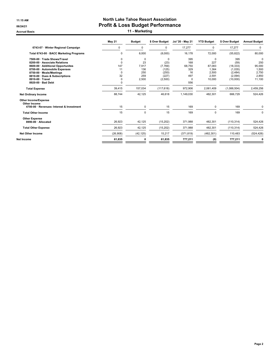#### 11:15 AM **North Lake Tahoe Resort Association** 06/24/21 OG/24/21 Profit & Loss Budget Performance Accrual Basis **11 - Marketing**

|                                           | May 21    | <b>Budget</b> | \$ Over Budget | Jul '20 - May 21 | <b>YTD Budget</b> | \$ Over Budget | <b>Annual Budget</b> |
|-------------------------------------------|-----------|---------------|----------------|------------------|-------------------|----------------|----------------------|
| 6743-07 · Winter Regional Campaign        | $\Omega$  | $\Omega$      | $\Omega$       | 17,277           | $\Omega$          | 17,277         | 0                    |
| Total 6743-00 · BACC Marketing Programs   | $\Omega$  | 8,000         | (8,000)        | 16,178           | 72,000            | (55, 822)      | 80,000               |
| 7500-00 · Trade Shows/Travel              | 0         | $\mathbf 0$   | $\Omega$       | 395              | 0                 | 395            | $\Omega$             |
| 8200-00 · Associate Relations             | $\Omega$  | 23            | (23)           | 168              | 227               | (59)           | 250                  |
| 8600-00 · Additional Opportunites         | 147       | 7,917         | (7,769)        | 68,750           | 87,083            | (18, 333)      | 95,000               |
| 8700-00 · Automobile Expenses             | 11        | 136           | (125)          | 329              | 1.364             | (1,035)        | 1,500                |
| 8750-00 · Meals/Meetings                  | O         | 250           | (250)          | 16               | 2,500             | (2, 484)       | 2,750                |
| 8810-00 · Dues & Subscriptions            | 32        | 259           | (227)          | 497              | 2,591             | (2,094)        | 2,850                |
| 8910-00 · Travel                          | $\Omega$  | 2,500         | (2,500)        | 0                | 10,000            | (10,000)       | 11,100               |
| 8920-00 · Bad Debt                        | O         |               |                | 556              |                   |                |                      |
| <b>Total Expense</b>                      | 39,415    | 157.034       | (117, 618)     | 972,906          | 2,061,409         | (1,088,504)    | 2,459,256            |
| <b>Net Ordinary Income</b>                | 88,744    | 42,125        | 46,618         | 1,149,030        | 482,301           | 666,729        | 524,426              |
| <b>Other Income/Expense</b>               |           |               |                |                  |                   |                |                      |
| Other Income                              |           |               |                |                  |                   |                |                      |
| 4700-00 · Revenues- Interest & Investment | 15        | 0             | 15             | 169              | 0                 | 169            | $\mathbf 0$          |
| <b>Total Other Income</b>                 | 15        | $\mathbf 0$   | 15             | 169              | 0                 | 169            | $\mathbf 0$          |
| <b>Other Expense</b>                      |           |               |                |                  |                   |                |                      |
| 8990-00 · Allocated                       | 26,923    | 42,125        | (15,202)       | 371,988          | 482.301           | (110, 314)     | 524,426              |
| <b>Total Other Expense</b>                | 26,923    | 42,125        | (15, 202)      | 371,988          | 482,301           | (110, 314)     | 524,426              |
| <b>Net Other Income</b>                   | (26, 908) | (42, 125)     | 15,217         | (371, 819)       | (482, 301)        | 110,483        | (524, 426)           |
| Net Income                                | 61,835    | 0             | 61,835         | 777,211          | (0)               | 777,211        | 0                    |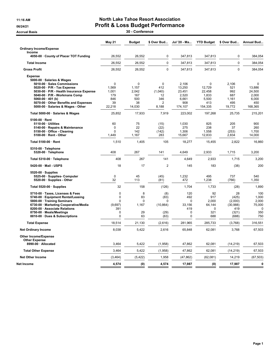#### 11:16 AM **North Lake Tahoe Resort Association** 06/24/21 **Profit & Loss Budget Performance**

Accrual Basis 20 - Conference

|                                                                                                                                                                                                                                                                                                   | May 21                                                             | <b>Budget</b>                                               | \$ Over Bud                                              | Jul '20 - Ma                                                          | <b>YTD Budget</b>                                                   | \$ Over Bud                                                  | Annual Bud                                                           |
|---------------------------------------------------------------------------------------------------------------------------------------------------------------------------------------------------------------------------------------------------------------------------------------------------|--------------------------------------------------------------------|-------------------------------------------------------------|----------------------------------------------------------|-----------------------------------------------------------------------|---------------------------------------------------------------------|--------------------------------------------------------------|----------------------------------------------------------------------|
| <b>Ordinary Income/Expense</b>                                                                                                                                                                                                                                                                    |                                                                    |                                                             |                                                          |                                                                       |                                                                     |                                                              |                                                                      |
| Income<br>4050-00 County of Placer TOT Funding                                                                                                                                                                                                                                                    | 26.552                                                             | 26,552                                                      | $\mathbf 0$                                              | 347,813                                                               | 347.813                                                             | $\mathbf 0$                                                  | 384.054                                                              |
| <b>Total Income</b>                                                                                                                                                                                                                                                                               | 26,552                                                             | 26,552                                                      | $\pmb{0}$                                                | 347,813                                                               | 347,813                                                             | $\pmb{0}$                                                    | 384,054                                                              |
| <b>Gross Profit</b>                                                                                                                                                                                                                                                                               | 26,552                                                             | 26,552                                                      | $\mathbf 0$                                              | 347,813                                                               | 347,813                                                             | $\mathbf 0$                                                  | 384,054                                                              |
| <b>Expense</b><br>5000-00 · Salaries & Wages<br>5010-00 · Sales Commissions<br>5020-00 · P/R - Tax Expense<br>5030-00 · P/R - Health Insurance Expense<br>5040-00 · P/R - Workmans Comp<br>5060-00 $\cdot$ 401 (k)<br>5070-00 · Other Benefits and Expenses<br>5000-00 · Salaries & Wages - Other | $\mathbf{0}$<br>1,569<br>1,001<br>179<br>846<br>39<br>22,218       | $\mathbf 0$<br>1,157<br>2,042<br>167<br>500<br>38<br>14,030 | $\mathbf 0$<br>412<br>(1,040)<br>12<br>346<br>2<br>8,188 | 2,106<br>13,250<br>23,451<br>2,520<br>6,661<br>908<br>174,107         | $\mathbf 0$<br>12,729<br>22,458<br>1,833<br>5,500<br>413<br>154,335 | 2.106<br>521<br>992<br>687<br>1,161<br>495<br>19,772         | $\mathbf{0}$<br>13,886<br>24,500<br>2.000<br>6,000<br>450<br>168,365 |
| Total 5000-00 · Salaries & Wages                                                                                                                                                                                                                                                                  | 25,852                                                             | 17,933                                                      | 7,919                                                    | 223,002                                                               | 197,268                                                             | 25,735                                                       | 215,201                                                              |
| $5100-00 \cdot$ Rent<br>5110-00 · Utilities<br>5140-00 · Repairs & Maintenance<br>5150-00 · Office - Cleaning<br>5100-00 · Rent - Other                                                                                                                                                           | 60<br>$\mathbf{0}$<br>0<br>1,449                                   | 75<br>22<br>142<br>1,167                                    | (15)<br>(22)<br>(142)<br>283                             | 1,030<br>275<br>1,306<br>15,667                                       | 825<br>238<br>1,558<br>12,833                                       | 205<br>37<br>(253)<br>2,834                                  | 900<br>260<br>1,700<br>14,000                                        |
| Total 5100-00 · Rent                                                                                                                                                                                                                                                                              | 1,510                                                              | 1.405                                                       | 105                                                      | 18,277                                                                | 15,455                                                              | 2,822                                                        | 16.860                                                               |
| 5310-00 · Telephone<br>5320-00 · Telephone                                                                                                                                                                                                                                                        | 408                                                                | 267                                                         | 141                                                      | 4,649                                                                 | 2,933                                                               | 1,715                                                        | 3,200                                                                |
| Total 5310-00 · Telephone                                                                                                                                                                                                                                                                         | 408                                                                | 267                                                         | 141                                                      | 4,649                                                                 | 2,933                                                               | 1,715                                                        | 3,200                                                                |
| 5420-00 · Mail - USPS                                                                                                                                                                                                                                                                             | 18                                                                 | 17                                                          | $\overline{2}$                                           | 145                                                                   | 183                                                                 | (38)                                                         | 200                                                                  |
| $5520-00 \cdot$ Supplies<br>5525-00 · Supplies- Computer<br>5520-00 · Supplies - Other                                                                                                                                                                                                            | $\mathbf 0$<br>32                                                  | 45<br>113                                                   | (45)<br>(81)                                             | 1,232<br>472                                                          | 495<br>1,238                                                        | 737<br>(766)                                                 | 540<br>1,350                                                         |
| Total 5520-00 · Supplies                                                                                                                                                                                                                                                                          | 32                                                                 | 158                                                         | (126)                                                    | 1,704                                                                 | 1,733                                                               | (28)                                                         | 1,890                                                                |
| 5710-00 · Taxes, Licenses & Fees<br>5740-00 · Equipment Rental/Leasing<br>5800-00 · Training Seminars<br>6730-00 · Marketing Cooperative/Media<br>8200-00 · Associate Relations<br>8750-00 · Meals/Meetings<br>8810-00 · Dues & Subscriptions                                                     | $\mathbf 0$<br>$\mathbf 0$<br>$\Omega$<br>(9,697)<br>391<br>0<br>0 | 8<br>83<br>$\Omega$<br>1,167<br>29<br>63                    | (8)<br>(83)<br>$\Omega$<br>(10, 864)<br>(29)<br>(63)     | 120<br>492<br>$\Omega$<br>33.156<br>419<br>$\mathbf 0$<br>$\mathbf 0$ | 92<br>917<br>2,000<br>64,144<br>$\Omega$<br>321<br>688              | 28<br>(425)<br>(2,000)<br>(30, 988)<br>419<br>(321)<br>(688) | 100<br>1,000<br>2,000<br>75,000<br>$\Omega$<br>350<br>750            |
| <b>Total Expense</b>                                                                                                                                                                                                                                                                              | 18,514                                                             | 21,130                                                      | (2,616)                                                  | 281,965                                                               | 285,733                                                             | (3,768)                                                      | 316,551                                                              |
| <b>Net Ordinary Income</b>                                                                                                                                                                                                                                                                        | 8,038                                                              | 5,422                                                       | 2,616                                                    | 65,848                                                                | 62,081                                                              | 3,768                                                        | 67,503                                                               |
| Other Income/Expense<br><b>Other Expense</b><br>8990-00 · Allocated                                                                                                                                                                                                                               | 3,464                                                              | 5,422                                                       | (1,958)                                                  | 47,862                                                                | 62,081                                                              | (14, 219)                                                    | 67,503                                                               |
| <b>Total Other Expense</b>                                                                                                                                                                                                                                                                        | 3,464                                                              | 5,422                                                       | (1,958)                                                  | 47,862                                                                | 62,081                                                              | (14, 219)                                                    | 67,503                                                               |
| <b>Net Other Income</b>                                                                                                                                                                                                                                                                           | (3, 464)                                                           | (5, 422)                                                    | 1,958                                                    | (47, 862)                                                             | (62,081)                                                            | 14,219                                                       | (67, 503)                                                            |
| Net Income                                                                                                                                                                                                                                                                                        | 4,574                                                              | (0)                                                         | 4,574                                                    | 17,987                                                                | (0)                                                                 | 17,987                                                       | $\mathbf 0$                                                          |
|                                                                                                                                                                                                                                                                                                   |                                                                    |                                                             |                                                          |                                                                       |                                                                     |                                                              |                                                                      |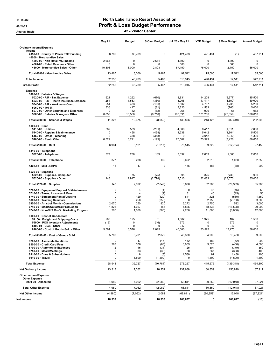#### 11:16 AM **North Lake Tahoe Resort Association** 06/24/21 OG/24/21 Profit & Loss Budget Performance

Accrual Basis 42 - Visitor Center

|                                                                               | <b>May 21</b>           | <b>Budget</b>  | \$ Over Budget  | Jul '20 - May 21 | <b>YTD Budget</b>  | \$ Over Budget     | <b>Annual Budget</b>  |
|-------------------------------------------------------------------------------|-------------------------|----------------|-----------------|------------------|--------------------|--------------------|-----------------------|
| <b>Ordinary Income/Expense</b>                                                |                         |                |                 |                  |                    |                    |                       |
| Income<br>4050-00 · County of Placer TOT Funding<br>46000 · Merchandise Sales | 38,789                  | 38,789         | 0               | 421,433          | 421,434            | (1)                | 457,711               |
| 4502-00 · Non-Retail VIC income                                               | 2,664                   | $\Omega$       | 2,664           | 4,802            | 0                  | 4,802              | $\mathbf 0$           |
| 4504-00 · Retail Revenue - Other<br>46000 · Merchandise Sales - Other         | 0<br>10,803             | 0<br>8,000     | 0<br>2,803      | 560<br>87,150    | $\Omega$<br>75,000 | 560<br>12,150      | $\mathbf 0$<br>85,000 |
| Total 46000 · Merchandise Sales                                               | 13,467                  | 8,000          | 5,467           | 92,512           | 75,000             | 17,512             | 85,000                |
| <b>Total Income</b>                                                           | 52,256                  | 46,789         | 5,467           | 513,945          | 496,434            | 17,511             | 542,711               |
| <b>Gross Profit</b>                                                           | 52,256                  | 46,789         | 5,467           | 513,945          | 496,434            | 17,511             | 542,711               |
| <b>Expense</b>                                                                |                         |                |                 |                  |                    |                    |                       |
| 5000-00 · Salaries & Wages<br>5020-00 · P/R - Tax Expense                     | 621                     | 1,292          | (670)           | 8,831            | 14,208             | (5, 377)           | 15,500                |
| 5030-00 · P/R - Health Insurance Expense                                      | 1,254                   | 1,583          | (330)           | 13,066           | 17,417             | (4, 350)           | 19,000                |
| 5040-00 · P/R - Workmans Comp                                                 | 254                     | 433            | (180)           | 3,532            | 4,767              | (1, 235)           | 5,200                 |
| 5060-00 $\cdot$ 401 (k)<br>5070-00 · Other Benefits and Expenses              | 336<br>0                | 417<br>82      | (81)<br>(82)    | 3,820<br>965     | 4,583<br>900       | (763)<br>65        | 5,000<br>982          |
| 5000-00 · Salaries & Wages - Other                                            | 8,858                   | 15,568         | (6, 710)        | 100,591          | 171,250            | (70, 659)          | 186,818               |
| Total 5000-00 · Salaries & Wages                                              | 11,323                  | 19,375         | (8,052)         | 130,806          | 213,125            | (82, 319)          | 232,500               |
| $5100-00 \cdot$ Rent                                                          |                         |                |                 |                  |                    |                    |                       |
| $5110-00 \cdot$ Utilities                                                     | 382<br>0                | 583<br>458     | (201)<br>(458)  | 4,806<br>1,238   | 6,417<br>5,042     | (1,611)            | 7,000<br>5,500        |
| 5140-00 · Repairs & Maintenance<br>5150-00 · Office - Cleaning                | 0                       | 358            | (358)           | 0                | 3,942              | (3,804)<br>(3,942) | 4,300                 |
| 5100-00 · Rent - Other                                                        | 6,522                   | 6,721          | (199)           | 70,502           | 73,929             | (3, 428)           | 80,650                |
| Total 5100-00 · Rent                                                          | 6,904                   | 8,121          | (1, 217)        | 76,545           | 89,329             | (12, 784)          | 97,450                |
| 5310-00 · Telephone<br>5320-00 · Telephone                                    | 377                     | 238            | 139             | 3,692            | 2,613              | 1,080              | 2,850                 |
| Total 5310-00 · Telephone                                                     | 377                     | 238            | 139             | 3,692            | 2,613              | 1,080              | 2,850                 |
| 5420-00 Mail - USPS                                                           | 18                      | 17             | $\overline{2}$  | 145              | 183                | (38)               | 200                   |
| $5520-00 \cdot$ Supplies                                                      |                         |                |                 |                  |                    |                    |                       |
| 5525-00 · Supplies- Computer<br>5520-00 · Supplies - Other                    | $\mathbf 0$<br>143      | 75<br>2,917    | (75)<br>(2,774) | 95<br>3,510      | 825<br>32,083      | (730)<br>(28, 573) | 900<br>35,000         |
| Total 5520-00 · Supplies                                                      | 143                     | 2,992          | (2,849)         | 3,606            | 32,908             | (29, 303)          | 35,900                |
| 5700-00 · Equipment Support & Maintenance                                     | $\mathsf 0$             | 4              | (4)             | $\mathbf 0$      | 46                 | (46)               | 50                    |
| 5710-00 · Taxes, Licenses & Fees                                              | $\mathbf 0$             | $\overline{4}$ | (4)             | 31               | 46                 | (15)               | 50                    |
| 5740-00 · Equipment Rental/Leasing                                            | $\Omega$<br>$\mathbf 0$ | 129<br>250     | (129)<br>(250)  | 841<br>0         | 1,421<br>2,750     | (580)<br>(2,750)   | 1,550<br>3,000        |
| 5800-00 · Training Seminars<br>5850-00 · Artist of Month - Commissions        | 2.070                   | 250            | 1,820           | 3,272            | 2,750              | 522                | 3,000                 |
| 6740-00 · Media/Collateral/Production                                         | 1,825                   | 1,667          | 158             | 1,825            | 18,333             | (16, 508)          | 20,000                |
| 6742-00 · Non-NLT Co-Op Marketing Program                                     | 200                     | 1,000          | (800)           | 2,200            | 11,000             | (8,800)            | 12,000                |
| 8100-00 · Cost of Goods Sold                                                  |                         |                |                 |                  |                    |                    |                       |
| 51100 · Freight and Shipping Costs<br>59900 · POS Inventory Adjustments       | 206<br>(16)             | 125<br>0       | 81<br>(16)      | 1,562<br>572     | 1,375<br>0         | 187<br>572         | 1,500<br>$\mathbf 0$  |
| 8100-01 · CGS - Other                                                         | 0                       | 0              | 0               | 247              | 0                  | 247                | $\mathbf 0$           |
| 8100-00 · Cost of Goods Sold - Other                                          | 5,591                   | 3,576          | 2,015           | 46,000           | 33,525             | 12,475             | 38,000                |
| Total 8100-00 · Cost of Goods Sold                                            | 5,780                   | 3,701          | 2,079           | 48,380           | 34,900             | 13,480             | 39,500                |
| 8200-00 · Associate Relations                                                 | $\mathbf 0$             | 17             | (17)            | 142              | 183                | (42)               | 200                   |
| 8500-00 · Credit Card Fees                                                    | 293                     | 376            | (83)            | 3,059            | 3,525              | (466)              | 4,000                 |
| 8700-00 · Automobile Expenses<br>8750-00 · Meals/Meetings                     | 12<br>0                 | 46<br>33       | (34)<br>(33)    | 125<br>58        | 504<br>367         | (379)<br>(308)     | 550<br>400            |
| 8810-00 · Dues & Subscriptions                                                | 0                       | 8              | (8)             | 1,530            | 92                 | 1,438              | 100                   |
| 8910-00 · Travel                                                              | 0                       | 1,500          | (1,500)         | 0                | 1,500              | (1,500)            | 1,500                 |
| <b>Total Expense</b>                                                          | 28,943                  | 39,727         | (10,784)        | 276,257          | 415,575            | (139, 318)         | 454,800               |
| <b>Net Ordinary Income</b>                                                    | 23,313                  | 7,062          | 16,251          | 237,688          | 80,859             | 156,829            | 87,911                |
| Other Income/Expense                                                          |                         |                |                 |                  |                    |                    |                       |
| <b>Other Expense</b><br>8990-00 · Allocated                                   | 4,980                   | 7,062          | (2,082)         | 68,811           | 80,859             | (12,048)           | 87,921                |
| <b>Total Other Expense</b>                                                    | 4,980                   | 7,062          | (2,082)         | 68,811           | 80,859             | (12,048)           | 87,921                |
| <b>Net Other Income</b>                                                       | (4,980)                 | (7,062)        | 2,082           | (68, 811)        | (80, 859)          | 12,048             | (87, 921)             |
| Net Income                                                                    | 18,333                  | 0              | 18,333          | 168,877          | 0                  | 168,877            | (10)                  |
|                                                                               |                         |                |                 |                  |                    |                    |                       |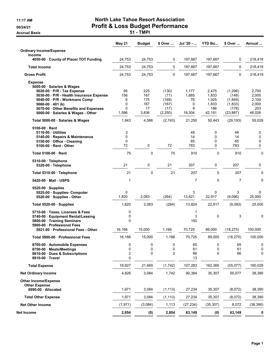Accrual Basis **Accrual Basis 51 - TMPI** 

# 11:17 AM **North Lake Tahoe Resort Association** 06/24/21 **Profit & Loss Budget Performance**

|                                                                                                                                                                                                                                                                  | May 21                                      | <b>Budget</b>                           | \$ Over                                             | Jul '20 -                                | <b>YTD Bu</b>                                     | \$ Over                                                      | Annual                                            |
|------------------------------------------------------------------------------------------------------------------------------------------------------------------------------------------------------------------------------------------------------------------|---------------------------------------------|-----------------------------------------|-----------------------------------------------------|------------------------------------------|---------------------------------------------------|--------------------------------------------------------------|---------------------------------------------------|
| <b>Ordinary Income/Expense</b>                                                                                                                                                                                                                                   |                                             |                                         |                                                     |                                          |                                                   |                                                              |                                                   |
| <b>Income</b><br>4050-00 County of Placer TOT Funding                                                                                                                                                                                                            | 24,753                                      | 24,753                                  | 0                                                   | 197,667                                  | 197,667                                           | 0                                                            | 218,419                                           |
| <b>Total Income</b>                                                                                                                                                                                                                                              | 24,753                                      | 24,753                                  | 0                                                   | 197,667                                  | 197,667                                           | 0                                                            | 218,419                                           |
| <b>Gross Profit</b>                                                                                                                                                                                                                                              | 24,753                                      | 24,753                                  | 0                                                   | 197,667                                  | 197,667                                           | 0                                                            | 218,419                                           |
| <b>Expense</b><br>5000-00 · Salaries & Wages<br>5020-00 · P/R - Tax Expense<br>5030-00 · P/R - Health Insurance Expense<br>5040-00 · P/R - Workmans Comp<br>5060-00 $\cdot$ 401 (k)<br>5070-00 Other Benefits and Expenses<br>5000-00 · Salaries & Wages - Other | 95<br>156<br>6<br>0<br>$\mathbf 0$<br>1,586 | 225<br>167<br>175<br>167<br>17<br>3,836 | (130)<br>(11)<br>(169)<br>(167)<br>(17)<br>(2, 250) | 1,177<br>1,685<br>76<br>0<br>9<br>18,304 | 2,475<br>1,833<br>1,925<br>1,833<br>186<br>42,191 | (1,298)<br>(148)<br>(1,849)<br>(1,833)<br>(178)<br>(23, 887) | 2,700<br>2,000<br>2,100<br>2,000<br>203<br>46,026 |
| Total 5000-00 · Salaries & Wages                                                                                                                                                                                                                                 | 1,843                                       | 4,586                                   | (2,743)                                             | 21,250                                   | 50,443                                            | (29, 193)                                                    | 55,029                                            |
| 5100-00 Rent<br>5110-00 Utilities<br>5140-00 Repairs & Maintenance<br>5150-00 Office - Cleaning<br>5100-00 Rent - Other                                                                                                                                          | 3<br>0<br>0<br>72                           | 0                                       | 72                                                  | 48<br>14<br>65<br>783                    | 0<br>0<br>0<br>0                                  | 48<br>14<br>65<br>783                                        | 0<br>0<br>0<br>0                                  |
| Total 5100-00 Rent                                                                                                                                                                                                                                               | 75                                          | 0                                       | 75                                                  | 910                                      | 0                                                 | 910                                                          | 0                                                 |
| 5310-00 · Telephone<br>5320-00 · Telephone                                                                                                                                                                                                                       | 21                                          | $\mathbf 0$                             | 21                                                  | 207                                      | 0                                                 | 207                                                          | 0                                                 |
| Total 5310-00 · Telephone                                                                                                                                                                                                                                        | 21                                          | 0                                       | 21                                                  | 207                                      | $\mathbf 0$                                       | 207                                                          | 0                                                 |
| 5420-00 Mail - USPS                                                                                                                                                                                                                                              | 1                                           |                                         |                                                     | 7                                        | $\mathbf 0$                                       | $\overline{7}$                                               | 0                                                 |
| $5520-00 \cdot$ Supplies<br>5525-00 · Supplies- Computer<br>5520-00 · Supplies - Other                                                                                                                                                                           | 0<br>1,820                                  | 2,083                                   | (264)                                               | 3<br>13,821                              | 0<br>22,917                                       | 3<br>(9,096)                                                 | 0<br>25,000                                       |
| Total 5520-00 · Supplies                                                                                                                                                                                                                                         | 1,820                                       | 2,083                                   | (264)                                               | 13,824                                   | 22,917                                            | (9,093)                                                      | 25,000                                            |
| 5710-00 Taxes, Licenses & Fees<br>5740-00 · Equipment Rental/Leasing<br>5800-00 Training Seminars<br>5900-00 Professional Fees                                                                                                                                   | 0<br>0<br>0                                 |                                         |                                                     | 1<br>3<br>150                            | 0                                                 | 3                                                            | 0                                                 |
| 5921-00 Professional Fees - Other                                                                                                                                                                                                                                | 16,166                                      | 15,000                                  | 1,166                                               | 70,725                                   | 89,000                                            | (18, 275)                                                    | 100,000                                           |
| Total 5900-00 Professional Fees                                                                                                                                                                                                                                  | 16,166                                      | 15,000                                  | 1,166                                               | 70,725                                   | 89,000                                            | (18, 275)                                                    | 100,000                                           |
| 8700-00 · Automobile Expenses<br>8750-00 Meals/Meetings<br>8810-00 · Dues & Subscriptions<br>8910-00 Travel                                                                                                                                                      | 0<br>0<br>2<br>0                            | 0<br>0<br>0                             | 0<br>0<br>$\overline{2}$                            | 65<br>61<br>66<br>13                     | $\mathsf{O}$<br>0<br>0                            | 65<br>61<br>66                                               | 0<br>0<br>0                                       |
| <b>Total Expense</b>                                                                                                                                                                                                                                             | 19,927                                      | 21,669                                  | (1, 742)                                            | 107,283                                  | 162,360                                           | (55,077)                                                     | 180,029                                           |
| <b>Net Ordinary Income</b>                                                                                                                                                                                                                                       | 4,826                                       | 3,084                                   | 1,742                                               | 90,384                                   | 35,307                                            | 55,077                                                       | 38,390                                            |
| <b>Other Income/Expense</b><br><b>Other Expense</b><br>8990-00 - Allocated                                                                                                                                                                                       | 1,971                                       | 3,084                                   | (1, 113)                                            | 27,234                                   | 35,307                                            | (8,072)                                                      | 38,390                                            |
| <b>Total Other Expense</b>                                                                                                                                                                                                                                       | 1,971                                       | 3,084                                   | (1, 113)                                            | 27,234                                   | 35,307                                            | (8,072)                                                      | 38,390                                            |
| <b>Net Other Income</b>                                                                                                                                                                                                                                          | (1, 971)                                    | (3,084)                                 | 1,113                                               | (27, 234)                                | (35, 307)                                         | 8,072                                                        | (38, 390)                                         |
| Net Income                                                                                                                                                                                                                                                       | 2,854                                       | (0)                                     | 2,854                                               | 63,149                                   | (0)                                               | 63,149                                                       | 0                                                 |
|                                                                                                                                                                                                                                                                  |                                             |                                         |                                                     |                                          |                                                   |                                                              |                                                   |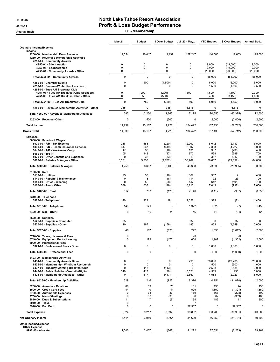#### 11:17 AM **North Lake Tahoe Resort Association** 06/24/21 OG/24/21 Profit & Loss Budget Performance

Accrual Basis **60 - Membership** 

|                                                                                                                                                                                                                                                    | May 21                                          | <b>Budget</b>                               | \$ Over Budget                                    | Jul '20 - May                                             | <b>YTD Budget</b>                               | \$ Over Budget                                               | Annual Bud                                       |
|----------------------------------------------------------------------------------------------------------------------------------------------------------------------------------------------------------------------------------------------------|-------------------------------------------------|---------------------------------------------|---------------------------------------------------|-----------------------------------------------------------|-------------------------------------------------|--------------------------------------------------------------|--------------------------------------------------|
| <b>Ordinary Income/Expense</b><br>Income                                                                                                                                                                                                           |                                                 |                                             |                                                   |                                                           |                                                 |                                                              |                                                  |
| 4200-00 · Membership Dues Revenue<br>4250-00 · Revenues-Membership Activities<br>4250-01 · Community Awards                                                                                                                                        | 11,554                                          | 10,417                                      | 1,137                                             | 127,247                                                   | 114,583                                         | 12,663                                                       | 125,000                                          |
| 4250-04 · Silent Auction<br>4250-05 · Sponsorships<br>4250-01 Community Awards - Other                                                                                                                                                             | 0<br>0<br>0                                     | 0<br>0<br>0                                 | 0<br>$\pmb{0}$<br>$\pmb{0}$                       | 0<br>0<br>0                                               | 19,000<br>19,000<br>20,000                      | (19,000)<br>(19,000)<br>(20,000)                             | 19,000<br>19,000<br>20,000                       |
| Total 4250-01 · Community Awards                                                                                                                                                                                                                   | 0                                               | $\mathbf 0$                                 | 0                                                 | 0                                                         | 58,000                                          | (58,000)                                                     | 58,000                                           |
| 4250-02 · Chamber Events                                                                                                                                                                                                                           | 0                                               | 1,500                                       | (1,500)                                           | 0                                                         | 6,000                                           | (6,000)                                                      | 6,000                                            |
| 4250-03 · Summer/Winter Rec Luncheon<br>4251-00 · Tues AM Breakfast Club<br>4251-01 · Tues AM Breakfast Club Sponsors<br>4251-00 · Tues AM Breakfast Club - Other                                                                                  | 0<br>0<br>0                                     | 0<br>200<br>550                             | 0<br>(200)<br>(550)                               | 0<br>500<br>0                                             | 1,500<br>1,600<br>3,450                         | (1,500)<br>(1, 100)<br>(3, 450)                              | 2,500<br>2,000<br>4,000                          |
| Total 4251-00 · Tues AM Breakfast Club                                                                                                                                                                                                             | $\mathbf 0$                                     | 750                                         | (750)                                             | 500                                                       | 5,050                                           | (4, 550)                                                     | 6,000                                            |
| 4250-00 · Revenues-Membership Activities - Other                                                                                                                                                                                                   | 385                                             | 0                                           | 385                                               | 6,675                                                     | 0                                               | 6,675                                                        | 0                                                |
| Total 4250-00 · Revenues-Membership Activities                                                                                                                                                                                                     | 385                                             | 2,250                                       | (1,865)                                           | 7,175                                                     | 70,550                                          | (63, 375)                                                    | 72,500                                           |
| 4253-00 · Revenue- Other                                                                                                                                                                                                                           | 0                                               | 500                                         | (500)                                             | 0                                                         | 2,000                                           | (2,000)                                                      | 2,500                                            |
| <b>Total Income</b>                                                                                                                                                                                                                                | 11,939                                          | 13,167                                      | (1, 228)                                          | 134,422                                                   | 187,133                                         | (52, 712)                                                    | 200,000                                          |
| <b>Gross Profit</b>                                                                                                                                                                                                                                | 11,939                                          | 13,167                                      | (1,228)                                           | 134,422                                                   | 187,133                                         | (52, 712)                                                    | 200,000                                          |
| <b>Expense</b>                                                                                                                                                                                                                                     |                                                 |                                             |                                                   |                                                           |                                                 |                                                              |                                                  |
| 5000-00 · Salaries & Wages<br>5020-00 · P/R - Tax Expense<br>5030-00 · P/R - Health Insurance Expense<br>5040 00 · P/R - Workmans Comp<br>5060-00 $\cdot$ 401 (k)<br>5070-00 Other Benefits and Expenses<br>5000-00 · Salaries & Wages - Other     | 238<br>347<br>17<br>105<br>$\mathbf 0$<br>3,551 | 458<br>667<br>33<br>142<br>33<br>5,333      | (220)<br>(319)<br>(16)<br>(37)<br>(33)<br>(1,782) | 2,902<br>2,607<br>131<br>970<br>19<br>36,769              | 5,042<br>7,333<br>367<br>1,558<br>367<br>58,667 | (2, 139)<br>(4, 727)<br>(236)<br>(589)<br>(347)<br>(21, 897) | 5,500<br>8,000<br>400<br>1,700<br>400<br>64,000  |
| Total 5000-00 · Salaries & Wages                                                                                                                                                                                                                   | 4,259                                           | 6,667                                       | (2, 408)                                          | 43,398                                                    | 73,333                                          | (29, 935)                                                    | 80,000                                           |
| $5100-00 \cdot$ Rent<br>$5110-00 \cdot$ Utilities<br>5140-00 · Repairs & Maintenance<br>5150-00 Office - Cleaning<br>5100-00 · Rent - Other                                                                                                        | 23<br>0<br>$\mathbf 0$<br>589                   | 33<br>8<br>58<br>638                        | (10)<br>(8)<br>(58)<br>(49)                       | 369<br>114<br>447<br>6,216                                | 367<br>92<br>642<br>7,013                       | $\overline{2}$<br>23<br>(195)<br>(797)                       | 400<br>100<br>700<br>7,650                       |
| Total 5100-00 · Rent                                                                                                                                                                                                                               | 612                                             | 737                                         | (126)                                             | 7,146                                                     | 8,112                                           | (967)                                                        | 8,850                                            |
| 5310-00 · Telephone                                                                                                                                                                                                                                |                                                 |                                             |                                                   |                                                           |                                                 |                                                              |                                                  |
| 5320-00 · Telephone                                                                                                                                                                                                                                | 140<br>140                                      | 121<br>121                                  | 19<br>19                                          | 1,322<br>1,322                                            | 1,329<br>1,329                                  | (7)                                                          | 1,450<br>1,450                                   |
| Total 5310-00 · Telephone<br>5420-00 · Mail - USPS                                                                                                                                                                                                 | 6                                               | 10                                          |                                                   | 46                                                        |                                                 | (7)                                                          | 120                                              |
|                                                                                                                                                                                                                                                    |                                                 |                                             | (4)                                               |                                                           | 110                                             | (64)                                                         |                                                  |
| $5520-00 \cdot$ Supplies<br>5525-00 · Supplies- Computer<br>5520 00 · Supplies - Other                                                                                                                                                             | 35<br>10                                        | 167                                         | (156)                                             | 37<br>185                                                 | 0<br>1,833                                      | 37<br>(1,649)                                                | 0<br>2,000                                       |
| Total 5520-00 · Supplies                                                                                                                                                                                                                           | 46                                              | 167                                         | (121)                                             | 222                                                       | 1,833                                           | (1,612)                                                      | 2,000                                            |
| 5710-00 · Taxes, Licenses & Fees<br>5740-00 · Equipment Rental/Leasing<br>5900-00 · Professional Fees                                                                                                                                              | 0<br>0                                          | 173                                         | (173)                                             | 23<br>604                                                 | 0<br>1,907                                      | 23<br>(1, 302)                                               | $\mathbf 0$<br>2,080                             |
| 5921-00 · Professional Fees - Other                                                                                                                                                                                                                | 0                                               | 0                                           | 0                                                 | 0                                                         | 1,000                                           | (1,000)                                                      | 1,000                                            |
| Total 5900-00 · Professional Fees                                                                                                                                                                                                                  | 0                                               | $\mathbf 0$                                 | $\mathbf 0$                                       | $\Omega$                                                  | 1,000                                           | (1,000)                                                      | 1,000                                            |
| 6423-00 · Membership Activities<br>6434-00 Community Awards Dinner<br>6436-00 · Membership - Wnt/Sum Rec Lunch<br>6437-00 · Tuesday Morning Breakfast Club<br>6442-00 · Public Relations/Website/Digita<br>6423-00 · Membership Activities - Other | $\pmb{0}$<br>0<br>0<br>319<br>0                 | $\pmb{0}$<br>$\pmb{0}$<br>413<br>417<br>417 | 0<br>$\mathbf 0$<br>(413)<br>(98)<br>(417)        | 295<br>0<br>0<br>5,521<br>2,560                           | 28,000<br>500<br>2,588<br>4,583<br>4,583        | (27, 705)<br>(500)<br>(2,588)<br>938<br>(2,023)              | 28,000<br>1,000<br>3,000<br>5,000<br>5,000       |
| Total 6423-00 Membership Activities                                                                                                                                                                                                                | 319                                             | 1,246                                       | (927)                                             | 8,376                                                     | 40,254                                          | (31, 878)                                                    | 42,000                                           |
| 8200-00 · Associate Relations<br>8500-00 · Credit Card Fees<br>8700-00 · Automobile Expenses<br>8750-00 · Meals/Meetings<br>8810-00 · Dues & Subscriptions<br>8910-00 · Travel<br>8920-00 · Bad Debt                                               | 88<br>44<br>$\mathbf 0$<br>0<br>11<br>0<br>0    | 13<br>0<br>33<br>33<br>17<br>0              | 76<br>44<br>(33)<br>(33)<br>(6)<br>0              | 181<br>529<br>159<br>8<br>194<br>$\overline{7}$<br>37,587 | 138<br>1,850<br>367<br>367<br>183<br>0          | 44<br>(1, 321)<br>(208)<br>(359)<br>11<br>37,587             | 150<br>1,850<br>400<br>400<br>200<br>$\mathbf 0$ |
| <b>Total Expense</b>                                                                                                                                                                                                                               | 5,524                                           | 9,217                                       | (3,692)                                           | 99,802                                                    | 130,783                                         | (30, 981)                                                    | 140,500                                          |
| <b>Net Ordinary Income</b>                                                                                                                                                                                                                         | 6,414                                           | 3,950                                       | 2,464                                             | 34,620                                                    | 56,350                                          | (21, 731)                                                    | 59,500                                           |
| Other Income/Expense<br><b>Other Expense</b><br>8990-00 · Allocated                                                                                                                                                                                | 1,540                                           | 2,407                                       | (867)                                             | 21,272                                                    | 27,554                                          | (6, 283)                                                     | 29,961                                           |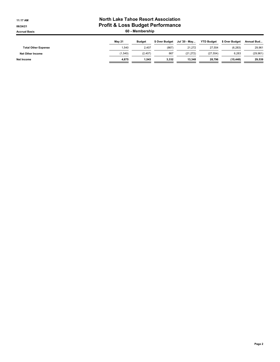#### 11:17 AM **North Lake Tahoe Resort Association** 06/24/21 OG/24/21 Profit & Loss Budget Performance Accrual Basis **60 - Membership**

|                            | <b>Mav 21</b> | <b>Budget</b> | \$ Over Budget | Jul '20 - May | <b>YTD Budget</b> | \$ Over Budget | Annual Bud |
|----------------------------|---------------|---------------|----------------|---------------|-------------------|----------------|------------|
| <b>Total Other Expense</b> | .540          | 2,407         | (867           | 21.272        | 27.554            | (6.283)        | 29,961     |
| <b>Net Other Income</b>    | (1, 540)      | (2.407)       | 867            | (21.272)      | (27, 554)         | 6,283          | (29, 961)  |
| Net Income                 | 4.875         | 1.543         | 3,332          | 13.348        | 28.796            | (15.448)       | 29,539     |